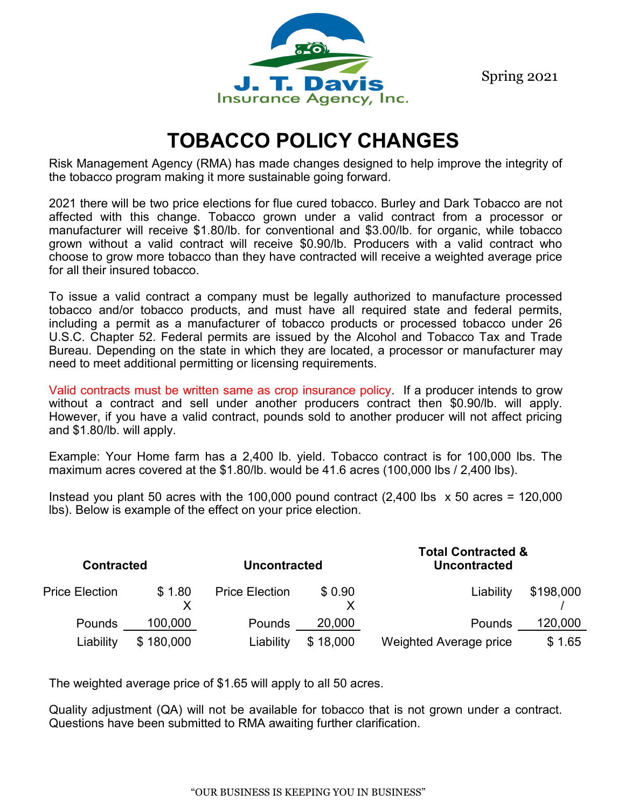Spring 2021



# **TOBACCO POLICY CHANGES**

Risk Management Agency (RMA) has made changes designed to help improve the integrity of the tobacco program making it more sustainable going forward.

2021 there will be two price elections for flue cured tobacco. Burley and Dark Tobacco are not affected with this change. Tobacco grown under a valid contract from a processor or manufacturer will receive \$1.80/lb. for conventional and \$3.00/lb. for organic, while tobacco grown without a valid contract will receive \$0.90/lb. Producers with a valid contract who choose to grow more tobacco than they have contracted will receive a weighted average price for all their insured tobacco.

To issue a valid contract a company must be legally authorized to manufacture processed tobacco and/or tobacco products, and must have all required state and federal permits, including a permit as a manufacturer of tobacco products or processed tobacco under 26 U.S.C. Chapter 52. Federal permits are issued by the Alcohol and Tobacco Tax and Trade Bureau. Depending on the state in which they are located, a processor or manufacturer may need to meet additional permitting or licensing requirements.

Valid contracts must be written same as crop insurance policy. If a producer intends to grow without a contract and sell under another producers contract then \$0.90/lb. will apply. However, if you have a valid contract, pounds sold to another producer will not affect pricing and \$1.80/lb. will apply.

Example: Your Home farm has a 2,400 lb. yield. Tobacco contract is for 100,000 lbs. The maximum acres covered at the \$1.80/lb. would be 41.6 acres (100,000 lbs / 2,400 lbs).

Instead you plant 50 acres with the 100,000 pound contract  $(2,400$  lbs  $\times$  50 acres = 120,000 lbs). Below is example of the effect on your price election.

| <b>Contracted</b>     |           | <b>Uncontracted</b>   |          | <b>Total Contracted &amp;</b><br><b>Uncontracted</b> |           |
|-----------------------|-----------|-----------------------|----------|------------------------------------------------------|-----------|
| <b>Price Election</b> | \$1.80    | <b>Price Election</b> | \$0.90   | Liability                                            | \$198,000 |
| <b>Pounds</b>         | 100,000   | <b>Pounds</b>         | 20,000   | <b>Pounds</b>                                        | 120,000   |
| Liability             | \$180,000 | Liability             | \$18,000 | Weighted Average price                               | \$1.65    |

The weighted average price of \$1.65 will apply to all 50 acres.

Quality adjustment (QA) will not be available for tobacco that is not grown under a contract. Questions have been submitted to RMA awaiting further clarification.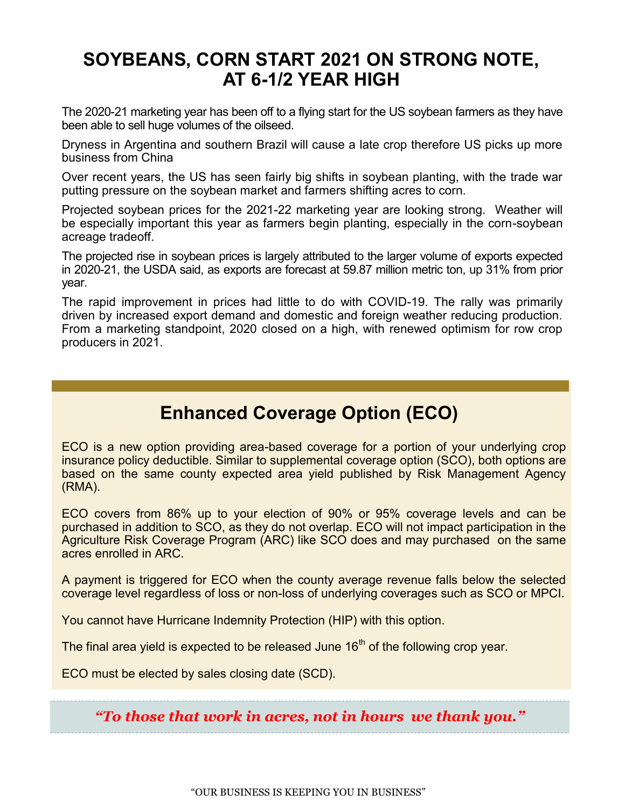# **SOYBEANS, CORN START 2021 ON STRONG NOTE, AT 6-1/2 YEAR HIGH**

The 2020-21 marketing year has been off to a flying start for the US soybean farmers as they have been able to sell huge volumes of the oilseed.

Dryness in Argentina and southern Brazil will cause a late crop therefore US picks up more business from China

Over recent years, the US has seen fairly big shifts in soybean planting, with the trade war putting pressure on the soybean market and farmers shifting acres to corn.

Projected soybean prices for the 2021-22 marketing year are looking strong. Weather will be especially important this year as farmers begin planting, especially in the corn-soybean acreage tradeoff.

The projected rise in soybean prices is largely attributed to the larger volume of exports expected in 2020-21, the USDA said, as exports are forecast at 59.87 million metric ton, up 31% from prior year.

The rapid improvement in prices had little to do with COVID-19. The rally was primarily driven by increased export demand and domestic and foreign weather reducing production. From a marketing standpoint, 2020 closed on a high, with renewed optimism for row crop producers in 2021.

# **Enhanced Coverage Option (ECO)**

ECO is a new option providing area-based coverage for a portion of your underlying crop insurance policy deductible. Similar to supplemental coverage option (SCO), both options are based on the same county expected area yield published by Risk Management Agency (RMA).

ECO covers from 86% up to your election of 90% or 95% coverage levels and can be purchased in addition to SCO, as they do not overlap. ECO will not impact participation in the Agriculture Risk Coverage Program (ARC) like SCO does and may purchased on the same acres enrolled in ARC.

A payment is triggered for ECO when the county average revenue falls below the selected coverage level regardless of loss or non-loss of underlying coverages such as SCO or MPCI.

You cannot have Hurricane Indemnity Protection (HIP) with this option.

The final area yield is expected to be released June  $16<sup>th</sup>$  of the following crop year.

ECO must be elected by sales closing date (SCD).

*"To those that work in acres, not in hours we thank you."*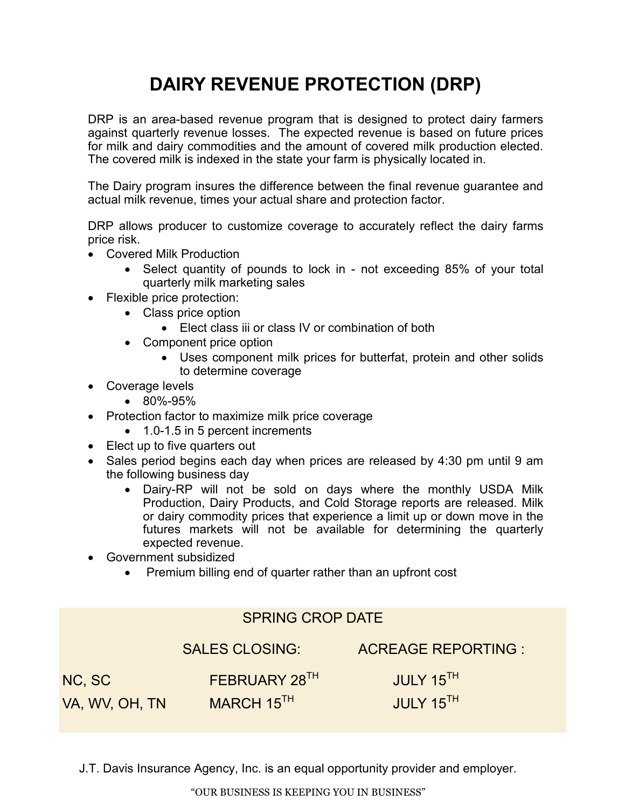# **DAIRY REVENUE PROTECTION (DRP)**

DRP is an area-based revenue program that is designed to protect dairy farmers against quarterly revenue losses. The expected revenue is based on future prices for milk and dairy commodities and the amount of covered milk production elected. The covered milk is indexed in the state your farm is physically located in.

The Dairy program insures the difference between the final revenue guarantee and actual milk revenue, times your actual share and protection factor.

DRP allows producer to customize coverage to accurately reflect the dairy farms price risk.

- Covered Milk Production
	- Select quantity of pounds to lock in not exceeding 85% of your total quarterly milk marketing sales
- Flexible price protection:
	- Class price option
		- Elect class iii or class IV or combination of both
	- Component price option
		- Uses component milk prices for butterfat, protein and other solids to determine coverage
- Coverage levels
	- 80%-95%
- Protection factor to maximize milk price coverage
	- 1.0-1.5 in 5 percent increments
- Elect up to five quarters out
- Sales period begins each day when prices are released by 4:30 pm until 9 am the following business day
	- Dairy-RP will not be sold on days where the monthly USDA Milk Production, Dairy Products, and Cold Storage reports are released. Milk or dairy commodity prices that experience a limit up or down move in the futures markets will not be available for determining the quarterly expected revenue.
- Government subsidized
	- Premium billing end of quarter rather than an upfront cost

|                | <b>SPRING CROP DATE</b> |                           |  |  |  |
|----------------|-------------------------|---------------------------|--|--|--|
|                | <b>SALES CLOSING:</b>   | <b>ACREAGE REPORTING:</b> |  |  |  |
| NC, SC         | FEBRUARY 28TH           | JULY 15 <sup>TH</sup>     |  |  |  |
| va, WV, OH, TN | MARCH 15 <sup>TH</sup>  | JULY 15TH                 |  |  |  |
|                |                         |                           |  |  |  |

J.T. Davis Insurance Agency, Inc. is an equal opportunity provider and employer.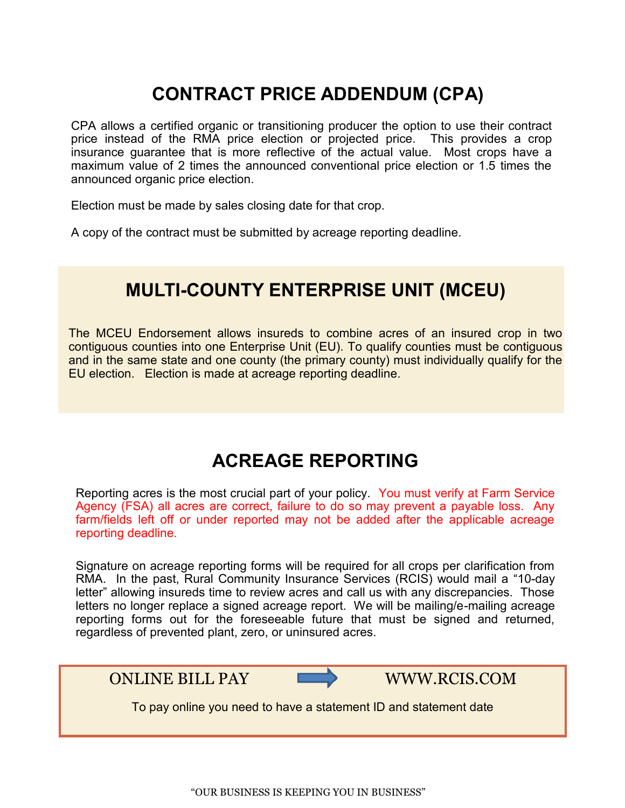# **CONTRACT PRICE ADDENDUM (CPA)**

CPA allows a certified organic or transitioning producer the option to use their contract price instead of the RMA price election or projected price. This provides a crop insurance guarantee that is more reflective of the actual value. Most crops have a maximum value of 2 times the announced conventional price election or 1.5 times the announced organic price election.

Election must be made by sales closing date for that crop.

A copy of the contract must be submitted by acreage reporting deadline.

# **MULTI-COUNTY ENTERPRISE UNIT (MCEU)**

The MCEU Endorsement allows insureds to combine acres of an insured crop in two contiguous counties into one Enterprise Unit (EU). To qualify counties must be contiguous and in the same state and one county (the primary county) must individually qualify for the EU election. Election is made at acreage reporting deadline.

# **ACREAGE REPORTING**

Reporting acres is the most crucial part of your policy. You must verify at Farm Service Agency (FSA) all acres are correct, failure to do so may prevent a payable loss. Any farm/fields left off or under reported may not be added after the applicable acreage reporting deadline.

Signature on acreage reporting forms will be required for all crops per clarification from RMA. In the past, Rural Community Insurance Services (RCIS) would mail a "10-day letter" allowing insureds time to review acres and call us with any discrepancies. Those letters no longer replace a signed acreage report. We will be mailing/e-mailing acreage reporting forms out for the foreseeable future that must be signed and returned, regardless of prevented plant, zero, or uninsured acres.



ONLINE BILL PAY WWW.RCIS.COM

To pay online you need to have a statement ID and statement date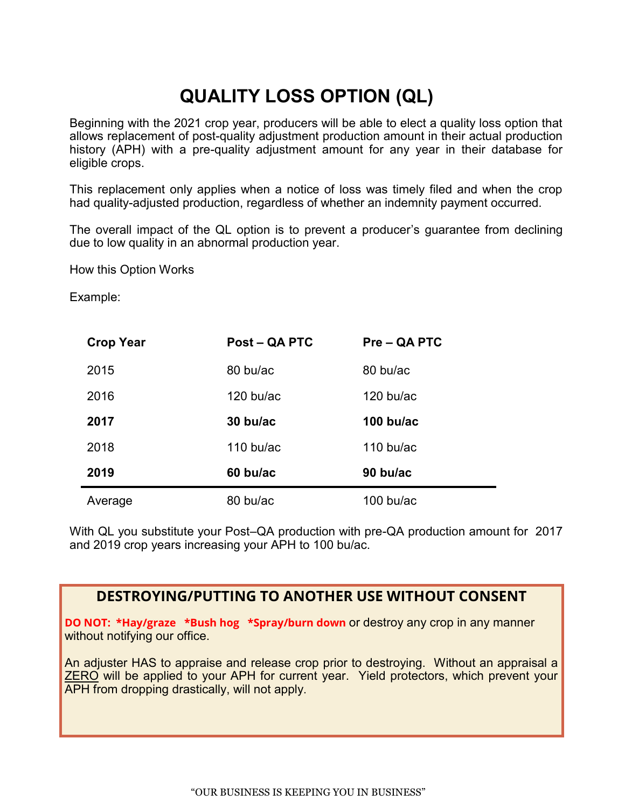# **QUALITY LOSS OPTION (QL)**

Beginning with the 2021 crop year, producers will be able to elect a quality loss option that allows replacement of post-quality adjustment production amount in their actual production history (APH) with a pre-quality adjustment amount for any year in their database for eligible crops.

This replacement only applies when a notice of loss was timely filed and when the crop had quality-adjusted production, regardless of whether an indemnity payment occurred.

The overall impact of the QL option is to prevent a producer's guarantee from declining due to low quality in an abnormal production year.

How this Option Works

Example:

| <b>Crop Year</b> | <b>Post – QA PTC</b> | Pre – QA PTC        |
|------------------|----------------------|---------------------|
| 2015             | 80 bu/ac             | 80 bu/ac            |
| 2016             | $120$ bu/ac          | $120$ bu/ac         |
| 2017             | 30 bu/ac             | 100 bu/ac           |
| 2018             | 110 bu/ac            | $110 \text{ bu/ac}$ |
| 2019             | 60 bu/ac             | 90 bu/ac            |
| Average          | 80 bu/ac             | $100$ bu/ac         |

With QL you substitute your Post–QA production with pre-QA production amount for 2017 and 2019 crop years increasing your APH to 100 bu/ac.

### **DESTROYING/PUTTING TO ANOTHER USE WITHOUT CONSENT**

**DO NOT: \*Hay/graze \*Bush hog \*Spray/burn down** or destroy any crop in any manner without notifying our office.

An adjuster HAS to appraise and release crop prior to destroying. Without an appraisal a ZERO will be applied to your APH for current year. Yield protectors, which prevent your APH from dropping drastically, will not apply.